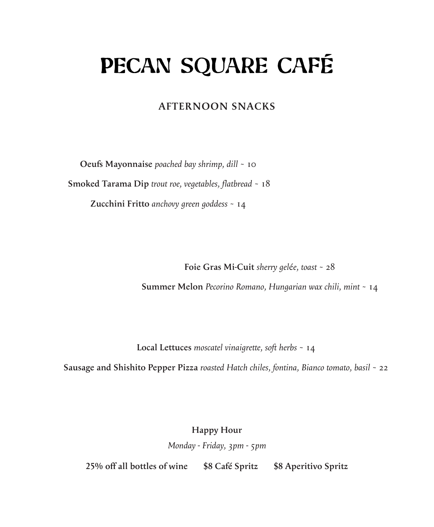## PECAN SQUARE CAFÉ

## **AFTERNOON SNACKS**

**Oeufs Mayonnaise** *poached bay shrimp, dill* ~ 10

 **Smoked Tarama Dip** *trout roe, vegetables, flatbread* ~ 18

**Zucchini Fritto** *anchovy green goddess* ~ 14

**Foie Gras Mi-Cuit** *sherry gel*é*e, toast* ~ 28

**Summer Melon** *Pecorino Romano, Hungarian wax chili, mint* ~ 14

**Local Lettuces** *moscatel vinaigrette, soft herbs* ~ 14

**Sausage and Shishito Pepper Pizza** *roasted Hatch chiles, fontina, Bianco tomato, basil* ~ 22

**Happy Hour**

*Monday - Friday, 3pm - 5pm*

**25% off all bottles of wine \$8 Café Spritz \$8 Aperitivo Spritz**